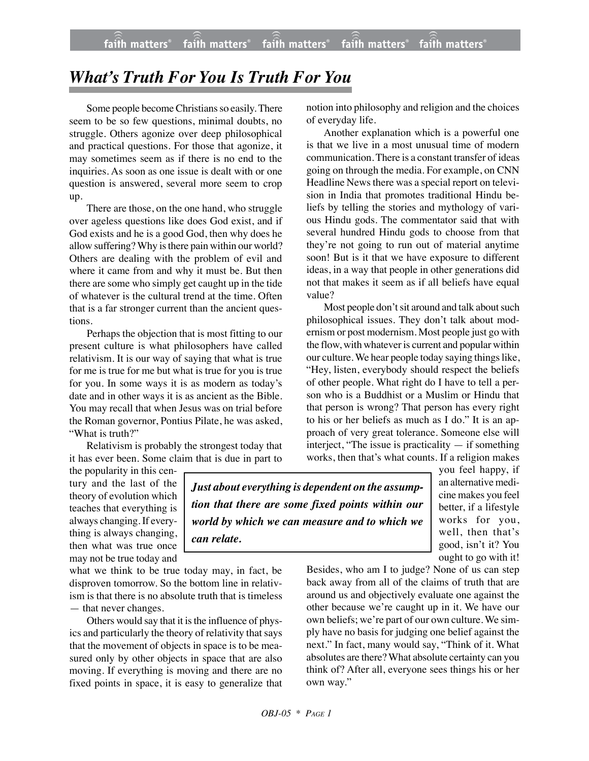## *What's Truth For You Is Truth For You*

Some people become Christians so easily. There seem to be so few questions, minimal doubts, no struggle. Others agonize over deep philosophical and practical questions. For those that agonize, it may sometimes seem as if there is no end to the inquiries. As soon as one issue is dealt with or one question is answered, several more seem to crop up.

There are those, on the one hand, who struggle over ageless questions like does God exist, and if God exists and he is a good God, then why does he allow suffering? Why is there pain within our world? Others are dealing with the problem of evil and where it came from and why it must be. But then there are some who simply get caught up in the tide of whatever is the cultural trend at the time. Often that is a far stronger current than the ancient questions.

Perhaps the objection that is most fitting to our present culture is what philosophers have called relativism. It is our way of saying that what is true for me is true for me but what is true for you is true for you. In some ways it is as modern as today's date and in other ways it is as ancient as the Bible. You may recall that when Jesus was on trial before the Roman governor, Pontius Pilate, he was asked, "What is truth?"

Relativism is probably the strongest today that it has ever been. Some claim that is due in part to notion into philosophy and religion and the choices of everyday life.

Another explanation which is a powerful one is that we live in a most unusual time of modern communication. There is a constant transfer of ideas going on through the media. For example, on CNN Headline News there was a special report on television in India that promotes traditional Hindu beliefs by telling the stories and mythology of various Hindu gods. The commentator said that with several hundred Hindu gods to choose from that they're not going to run out of material anytime soon! But is it that we have exposure to different ideas, in a way that people in other generations did not that makes it seem as if all beliefs have equal value?

Most people don't sit around and talk about such philosophical issues. They don't talk about modernism or post modernism. Most people just go with the flow, with whatever is current and popular within our culture. We hear people today saying things like, "Hey, listen, everybody should respect the beliefs of other people. What right do I have to tell a person who is a Buddhist or a Muslim or Hindu that that person is wrong? That person has every right to his or her beliefs as much as I do." It is an approach of very great tolerance. Someone else will interject, "The issue is practicality — if something works, then that's what counts. If a religion makes

the popularity in this century and the last of the theory of evolution which teaches that everything is always changing.If everything is always changing, then what was true once may not be true today and

what we think to be true today may, in fact, be disproven tomorrow. So the bottom line in relativism is that there is no absolute truth that is timeless — that never changes.

Others would say that it is the influence of physics and particularly the theory of relativity that says that the movement of objects in space is to be measured only by other objects in space that are also moving. If everything is moving and there are no fixed points in space, it is easy to generalize that

*Just about everything is dependent on the assumption that there are some fixed points within our world by which we can measure and to which we can relate.*

you feel happy, if an alternative medicine makes you feel better, if a lifestyle works for you, well, then that's good, isn't it? You ought to go with it!

Besides, who am I to judge? None of us can step back away from all of the claims of truth that are around us and objectively evaluate one against the other because we're caught up in it. We have our own beliefs; we're part of our own culture. We simply have no basis for judging one belief against the next." In fact, many would say, "Think of it. What absolutes are there?What absolute certainty can you think of? After all, everyone sees things his or her own way."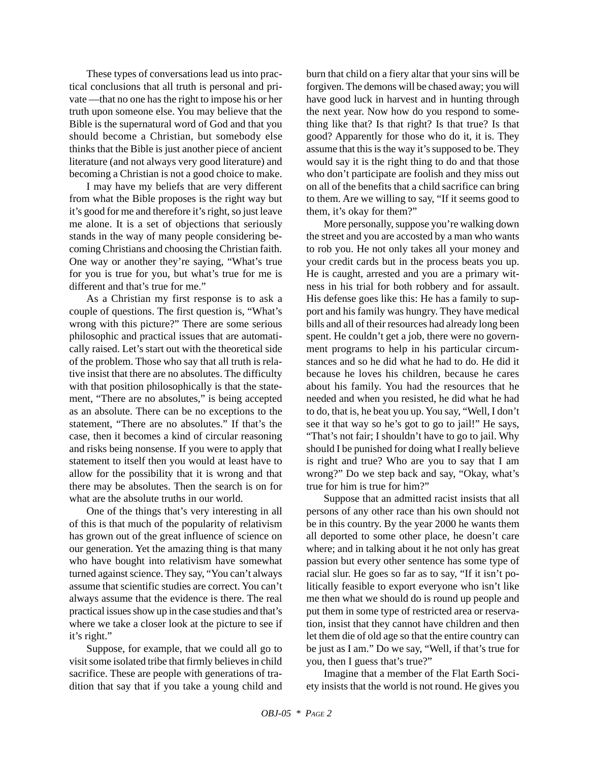These types of conversations lead us into practical conclusions that all truth is personal and private —that no one has the right to impose his or her truth upon someone else. You may believe that the Bible is the supernatural word of God and that you should become a Christian, but somebody else thinks that the Bible is just another piece of ancient literature (and not always very good literature) and becoming a Christian is not a good choice to make.

I may have my beliefs that are very different from what the Bible proposes is the right way but it's good for me and therefore it's right, so just leave me alone. It is a set of objections that seriously stands in the way of many people considering becoming Christians and choosing the Christian faith. One way or another they're saying, "What's true for you is true for you, but what's true for me is different and that's true for me."

As a Christian my first response is to ask a couple of questions. The first question is, "What's wrong with this picture?" There are some serious philosophic and practical issues that are automatically raised. Let's start out with the theoretical side of the problem. Those who say that all truth is relative insist that there are no absolutes. The difficulty with that position philosophically is that the statement, "There are no absolutes," is being accepted as an absolute. There can be no exceptions to the statement, "There are no absolutes." If that's the case, then it becomes a kind of circular reasoning and risks being nonsense. If you were to apply that statement to itself then you would at least have to allow for the possibility that it is wrong and that there may be absolutes. Then the search is on for what are the absolute truths in our world.

One of the things that's very interesting in all of this is that much of the popularity of relativism has grown out of the great influence of science on our generation. Yet the amazing thing is that many who have bought into relativism have somewhat turned against science. They say, "You can't always assume that scientific studies are correct. You can't always assume that the evidence is there. The real practical issues show up in the case studies and that's where we take a closer look at the picture to see if it's right."

Suppose, for example, that we could all go to visit some isolated tribe that firmly believes in child sacrifice. These are people with generations of tradition that say that if you take a young child and burn that child on a fiery altar that your sins will be forgiven. The demons will be chased away; you will have good luck in harvest and in hunting through the next year. Now how do you respond to something like that? Is that right? Is that true? Is that good? Apparently for those who do it, it is. They assume that this is the way it's supposed to be. They would say it is the right thing to do and that those who don't participate are foolish and they miss out on all of the benefits that a child sacrifice can bring to them. Are we willing to say, "If it seems good to them, it's okay for them?"

More personally, suppose you're walking down the street and you are accosted by a man who wants to rob you. He not only takes all your money and your credit cards but in the process beats you up. He is caught, arrested and you are a primary witness in his trial for both robbery and for assault. His defense goes like this: He has a family to support and his family was hungry. They have medical bills and all of their resources had already long been spent. He couldn't get a job, there were no government programs to help in his particular circumstances and so he did what he had to do. He did it because he loves his children, because he cares about his family. You had the resources that he needed and when you resisted, he did what he had to do, that is, he beat you up. You say, "Well, I don't see it that way so he's got to go to jail!" He says, "That's not fair; I shouldn't have to go to jail. Why should I be punished for doing what I really believe is right and true? Who are you to say that I am wrong?" Do we step back and say, "Okay, what's true for him is true for him?"

Suppose that an admitted racist insists that all persons of any other race than his own should not be in this country. By the year 2000 he wants them all deported to some other place, he doesn't care where; and in talking about it he not only has great passion but every other sentence has some type of racial slur. He goes so far as to say, "If it isn't politically feasible to export everyone who isn't like me then what we should do is round up people and put them in some type of restricted area or reservation, insist that they cannot have children and then let them die of old age so that the entire country can be just as I am." Do we say, "Well, if that's true for you, then I guess that's true?"

Imagine that a member of the Flat Earth Society insists that the world is not round. He gives you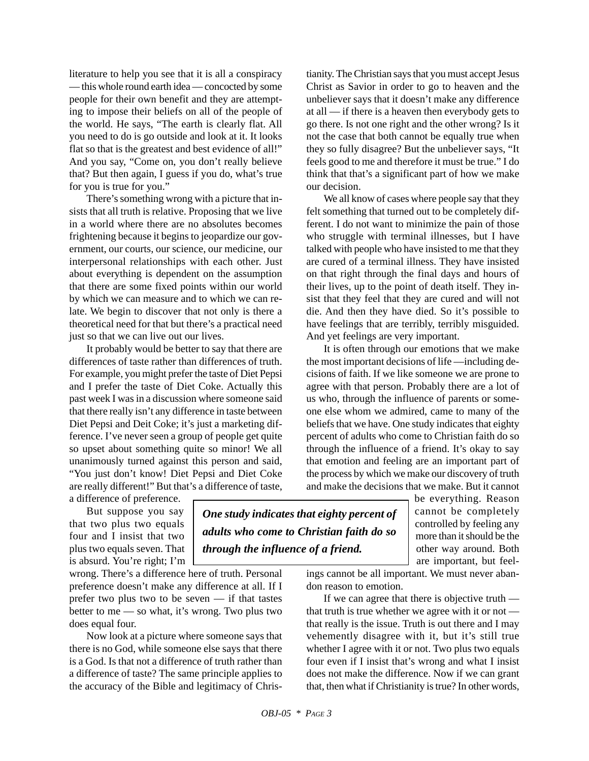literature to help you see that it is all a conspiracy — this whole round earth idea — concocted by some people for their own benefit and they are attempting to impose their beliefs on all of the people of the world. He says, "The earth is clearly flat. All you need to do is go outside and look at it. It looks flat so that is the greatest and best evidence of all!" And you say, "Come on, you don't really believe that? But then again, I guess if you do, what's true for you is true for you."

There's something wrong with a picture that insists that all truth is relative. Proposing that we live in a world where there are no absolutes becomes frightening because it begins to jeopardize our government, our courts, our science, our medicine, our interpersonal relationships with each other. Just about everything is dependent on the assumption that there are some fixed points within our world by which we can measure and to which we can relate. We begin to discover that not only is there a theoretical need for that but there's a practical need just so that we can live out our lives.

It probably would be better to say that there are differences of taste rather than differences of truth. For example, you might prefer the taste of Diet Pepsi and I prefer the taste of Diet Coke. Actually this past week I was in a discussion where someone said that there really isn't any difference in taste between Diet Pepsi and Deit Coke; it's just a marketing difference. I've never seen a group of people get quite so upset about something quite so minor! We all unanimously turned against this person and said, "You just don't know! Diet Pepsi and Diet Coke are really different!" But that's a difference of taste,

a difference of preference. But suppose you say that two plus two equals

four and I insist that two plus two equals seven. That is absurd. You're right; I'm

wrong. There's a difference here of truth. Personal preference doesn't make any difference at all. If I prefer two plus two to be seven — if that tastes better to me — so what, it's wrong. Two plus two does equal four.

Now look at a picture where someone says that there is no God, while someone else says that there is a God. Is that not a difference of truth rather than a difference of taste? The same principle applies to the accuracy of the Bible and legitimacy of Christianity. The Christian says that you must accept Jesus Christ as Savior in order to go to heaven and the unbeliever says that it doesn't make any difference at all — if there is a heaven then everybody gets to go there. Is not one right and the other wrong? Is it not the case that both cannot be equally true when they so fully disagree? But the unbeliever says, "It feels good to me and therefore it must be true." I do think that that's a significant part of how we make our decision.

We all know of cases where people say that they felt something that turned out to be completely different. I do not want to minimize the pain of those who struggle with terminal illnesses, but I have talked with people who have insisted to me that they are cured of a terminal illness. They have insisted on that right through the final days and hours of their lives, up to the point of death itself. They insist that they feel that they are cured and will not die. And then they have died. So it's possible to have feelings that are terribly, terribly misguided. And yet feelings are very important.

It is often through our emotions that we make the most important decisions of life —including decisions of faith. If we like someone we are prone to agree with that person. Probably there are a lot of us who, through the influence of parents or someone else whom we admired, came to many of the beliefs that we have. One study indicates that eighty percent of adults who come to Christian faith do so through the influence of a friend. It's okay to say that emotion and feeling are an important part of the process by which we make our discovery of truth and make the decisions that we make. But it cannot

> be everything. Reason cannot be completely controlled by feeling any more than it should be the other way around. Both are important, but feel-

ings cannot be all important. We must never aban-

don reason to emotion. If we can agree that there is objective truth that truth is true whether we agree with it or not that really is the issue. Truth is out there and I may vehemently disagree with it, but it's still true whether I agree with it or not. Two plus two equals four even if I insist that's wrong and what I insist does not make the difference. Now if we can grant that, then what if Christianity is true? In other words,

*One study indicates that eighty percent of adults who come to Christian faith do so through the influence of a friend.*